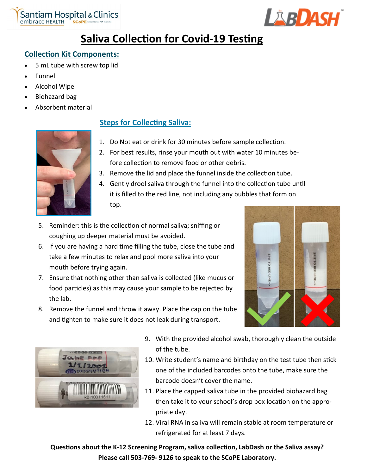



# **Saliva Collection for Covid-19 Testing**

# **Collection Kit Components:**

- 5 mL tube with screw top lid
- Funnel
- Alcohol Wipe
- Biohazard bag
- Absorbent material



# **Steps for Collecting Saliva:**

- 1. Do Not eat or drink for 30 minutes before sample collection.
- 2. For best results, rinse your mouth out with water 10 minutes before collection to remove food or other debris.
- 3. Remove the lid and place the funnel inside the collection tube.
- 4. Gently drool saliva through the funnel into the collection tube until it is filled to the red line, not including any bubbles that form on top.
- 5. Reminder: this is the collection of normal saliva; sniffing or coughing up deeper material must be avoided.
- 6. If you are having a hard time filling the tube, close the tube and take a few minutes to relax and pool more saliva into your mouth before trying again.
- 7. Ensure that nothing other than saliva is collected (like mucus or food particles) as this may cause your sample to be rejected by the lab.
- 8. Remove the funnel and throw it away. Place the cap on the tube and tighten to make sure it does not leak during transport.





- 9. With the provided alcohol swab, thoroughly clean the outside of the tube.
- 10. Write student's name and birthday on the test tube then stick one of the included barcodes onto the tube, make sure the barcode doesn't cover the name.
- 11. Place the capped saliva tube in the provided biohazard bag then take it to your school's drop box location on the appropriate day.
- 12. Viral RNA in saliva will remain stable at room temperature or refrigerated for at least 7 days.

**Questions about the K-12 Screening Program, saliva collection, LabDash or the Saliva assay? Please call 503-769- 9126 to speak to the SCoPE Laboratory.**